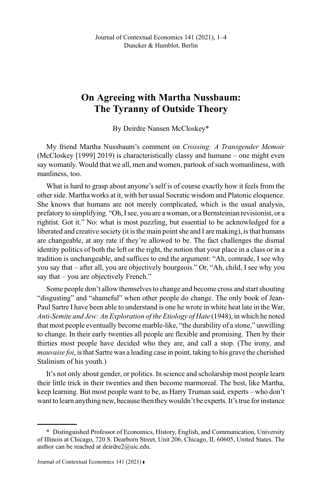## On Agreeing with Martha Nussbaum: The Tyranny of Outside Theory

By Deirdre Nansen McCloskey\*

My friend Martha Nussbaum's comment on Crossing: A Transgender Memoir (McCloskey [1999] 2019) is characteristically classy and humane – one might even say womanly. Would that we all, men and women, partook of such womanliness, with manliness, too.

What is hard to grasp about anyone's self is of course exactly how it feels from the other side. Martha works at it, with her usual Socratic wisdom and Platonic eloquence. She knows that humans are not merely complicated, which is the usual analysis, prefatory to simplifying. "Oh, I see, you are a woman, or a Bernsteinian revisionist, or a rightist. Got it." No: what is most puzzling, but essential to be acknowledged for a liberated and creative society (it is the main point she and I are making), is that humans are changeable, at any rate if they're allowed to be. The fact challenges the dismal identity politics of both the left or the right, the notion that your place in a class or in a tradition is unchangeable, and suffices to end the argument: "Ah, comrade, I see why you say that – after all, you are objectively bourgeois." Or, "Ah, child, I see why you say that – you are objectively French."

Some people don't allow themselves to change and become cross and start shouting "disgusting" and "shameful" when other people do change. The only book of Jean-Paul Sartre I have been able to understand is one he wrote in white heat late in the War, Anti-Semite and Jew: An Exploration of the Etiology of Hate (1948), in which he noted that most people eventually become marble-like, "the durability of a stone," unwilling to change. In their early twenties all people are flexible and promising. Then by their thirties most people have decided who they are, and call a stop. (The irony, and mauvaise foi, is that Sartre was a leading case in point, taking to his grave the cherished Stalinism of his youth.)

It's not only about gender, or politics. In science and scholarship most people learn their little trick in their twenties and then become marmoreal. The best, like Martha, keep learning. But most people want to be, as Harry Truman said, experts – who don't want to learn anything new, because then they wouldn't be experts. It's true for instance

<sup>\*</sup> Distinguished Professor of Economics, History, English, and Communication, University of Illinois at Chicago, 720 S. Dearborn Street, Unit 206, Chicago, IL 60605, United States. The author can be reached at deirdre2@uic.edu.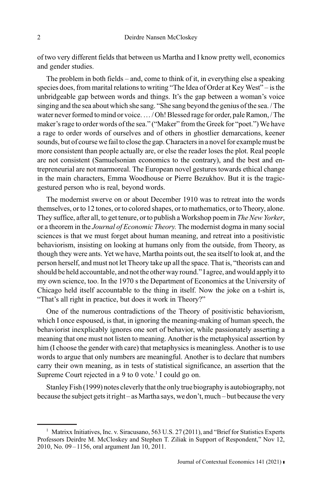of two very different fields that between us Martha and I know pretty well, economics and gender studies.

The problem in both fields – and, come to think of it, in everything else a speaking species does, from marital relations to writing "The Idea of Order at Key West" – is the unbridgeable gap between words and things. It's the gap between a woman's voice singing and the sea about which she sang. "She sang beyond the genius of the sea. / The water never formed to mind or voice.…/ Oh! Blessed rage for order, pale Ramon, / The maker's rage to order words of the sea." ("Maker" from the Greek for "poet.") We have a rage to order words of ourselves and of others in ghostlier demarcations, keener sounds, but of course we fail to close the gap. Characters in a novel for example must be more consistent than people actually are, or else the reader loses the plot. Real people are not consistent (Samuelsonian economics to the contrary), and the best and entrepreneurial are not marmoreal. The European novel gestures towards ethical change in the main characters, Emma Woodhouse or Pierre Bezukhov. But it is the tragicgestured person who is real, beyond words.

The modernist swerve on or about December 1910 was to retreat into the words themselves, or to 12 tones, or to colored shapes, or to mathematics, or to Theory, alone. They suffice, after all, to get tenure, or to publish a Workshop poem in The New Yorker, or a theorem in the Journal of Economic Theory. The modernist dogma in many social sciences is that we must forget about human meaning, and retreat into a positivistic behaviorism, insisting on looking at humans only from the outside, from Theory, as though they were ants. Yet we have, Martha points out, the sea itself to look at, and the person herself, and must not let Theory take up all the space. That is, "theorists can and should be held accountable, and not the other way round." I agree, and would apply it to my own science, too. In the 1970 s the Department of Economics at the University of Chicago held itself accountable to the thing in itself. Now the joke on a t-shirt is, "That's all right in practice, but does it work in Theory?"

One of the numerous contradictions of the Theory of positivistic behaviorism, which I once espoused, is that, in ignoring the meaning-making of human speech, the behaviorist inexplicably ignores one sort of behavior, while passionately asserting a meaning that one must not listen to meaning. Another is the metaphysical assertion by him (I choose the gender with care) that metaphysics is meaningless. Another is to use words to argue that only numbers are meaningful. Another is to declare that numbers carry their own meaning, as in tests of statistical significance, an assertion that the Supreme Court rejected in a 9 to 0 vote.<sup>1</sup> I could go on.

Stanley Fish (1999) notes cleverly that the only true biography is autobiography, not because the subject gets it right – as Martha says, we don't, much – but because the very

<sup>&</sup>lt;sup>1</sup> Matrixx Initiatives, Inc. v. Siracusano, 563 U.S. 27 (2011), and "Brief for Statistics Experts Professors Deirdre M. McCloskey and Stephen T. Ziliak in Support of Respondent," Nov 12, 2010, No. 09 –1156, oral argument Jan 10, 2011.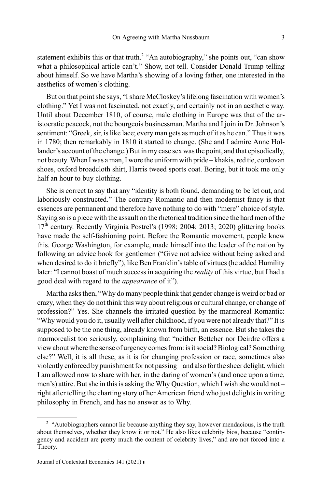statement exhibits this or that truth.<sup>2</sup> "An autobiography," she points out, "can show what a philosophical article can't." Show, not tell. Consider Donald Trump telling about himself. So we have Martha's showing of a loving father, one interested in the aesthetics of women's clothing.

But on that point she says, "I share McCloskey's lifelong fascination with women's clothing." Yet I was not fascinated, not exactly, and certainly not in an aesthetic way. Until about December 1810, of course, male clothing in Europe was that of the aristocratic peacock, not the bourgeois businessman. Martha and I join in Dr. Johnson's sentiment: "Greek, sir, is like lace; every man gets as much of it as he can." Thus it was in 1780; then remarkably in 1810 it started to change. (She and I admire Anne Hollander's account of the change.) But in my case sex was the point, and that episodically, not beauty. When I was a man, I wore the uniform with pride – khakis, red tie, cordovan shoes, oxford broadcloth shirt, Harris tweed sports coat. Boring, but it took me only half an hour to buy clothing.

She is correct to say that any "identity is both found, demanding to be let out, and laboriously constructed." The contrary Romantic and then modernist fancy is that essences are permanent and therefore have nothing to do with "mere" choice of style. Saying so is a piece with the assault on the rhetorical tradition since the hard men of the 17<sup>th</sup> century. Recently Virginia Postrel's (1998; 2004; 2013; 2020) glittering books have made the self-fashioning point. Before the Romantic movement, people knew this. George Washington, for example, made himself into the leader of the nation by following an advice book for gentlemen ("Give not advice without being asked and when desired to do it briefly"), like Ben Franklin's table of virtues (he added Humility later: "I cannot boast of much success in acquiring the *reality* of this virtue, but I had a good deal with regard to the appearance of it").

Martha asks then, "Why do many people think that gender change is weird or bad or crazy, when they do not think this way about religious or cultural change, or change of profession?" Yes. She channels the irritated question by the marmoreal Romantic: "Why would you do it, usually well after childhood, if you were not already that?" It is supposed to be the one thing, already known from birth, an essence. But she takes the marmorealist too seriously, complaining that "neither Bettcher nor Deirdre offers a view about where the sense of urgency comes from: is it social? Biological? Something else?" Well, it is all these, as it is for changing profession or race, sometimes also violently enforced by punishment for not passing – and also for the sheer delight, which I am allowed now to share with her, in the daring of women's (and once upon a time, men's) attire. But she in this is asking the Why Question, which I wish she would not – right after telling the charting story of her American friend who just delights in writing philosophy in French, and has no answer as to Why.

<sup>&</sup>lt;sup>2</sup> "Autobiographers cannot lie because anything they say, however mendacious, is the truth about themselves, whether they know it or not." He also likes celebrity bios, because "contingency and accident are pretty much the content of celebrity lives," and are not forced into a Theory.